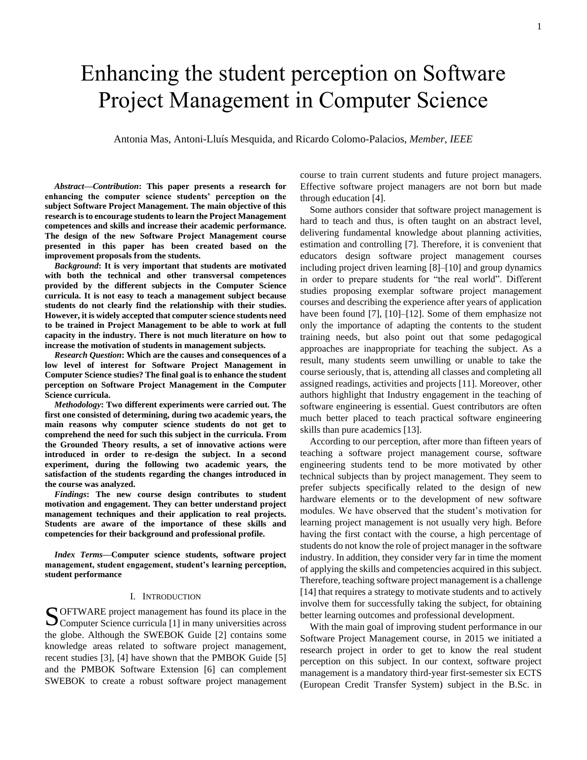# Enhancing the student perception on Software Project Management in Computer Science

Antonia Mas, Antoni-Lluís Mesquida, and Ricardo Colomo-Palacios, *Member, IEEE*

*Abstract—Contribution***: This paper presents a research for enhancing the computer science students' perception on the subject Software Project Management. The main objective of this research is to encourage students to learn the Project Management competences and skills and increase their academic performance. The design of the new Software Project Management course presented in this paper has been created based on the improvement proposals from the students.**

*Background***: It is very important that students are motivated with both the technical and other transversal competences provided by the different subjects in the Computer Science curricula. It is not easy to teach a management subject because students do not clearly find the relationship with their studies. However, it is widely accepted that computer science students need to be trained in Project Management to be able to work at full capacity in the industry. There is not much literature on how to increase the motivation of students in management subjects.**

*Research Question***: Which are the causes and consequences of a low level of interest for Software Project Management in Computer Science studies? The final goal is to enhance the student perception on Software Project Management in the Computer Science curricula.**

*Methodology***: Two different experiments were carried out. The first one consisted of determining, during two academic years, the main reasons why computer science students do not get to comprehend the need for such this subject in the curricula. From the Grounded Theory results, a set of innovative actions were introduced in order to re-design the subject. In a second experiment, during the following two academic years, the satisfaction of the students regarding the changes introduced in the course was analyzed.**

*Findings***: The new course design contributes to student motivation and engagement. They can better understand project management techniques and their application to real projects. Students are aware of the importance of these skills and competencies for their background and professional profile.**

*Index Terms***—Computer science students, software project management, student engagement, student's learning perception, student performance**

## I. INTRODUCTION

OFTWARE project management has found its place in the S OFTWARE project management has found its place in the Computer Science curricula [1] in many universities across the globe. Although the SWEBOK Guide [2] contains some knowledge areas related to software project management, recent studies [3], [4] have shown that the PMBOK Guide [5] and the PMBOK Software Extension [6] can complement SWEBOK to create a robust software project management

course to train current students and future project managers. Effective software project managers are not born but made through education [4].

Some authors consider that software project management is hard to teach and thus, is often taught on an abstract level, delivering fundamental knowledge about planning activities, estimation and controlling [7]. Therefore, it is convenient that educators design software project management courses including project driven learning [8]–[10] and group dynamics in order to prepare students for "the real world". Different studies proposing exemplar software project management courses and describing the experience after years of application have been found [7], [10]–[12]. Some of them emphasize not only the importance of adapting the contents to the student training needs, but also point out that some pedagogical approaches are inappropriate for teaching the subject. As a result, many students seem unwilling or unable to take the course seriously, that is, attending all classes and completing all assigned readings, activities and projects [11]. Moreover, other authors highlight that Industry engagement in the teaching of software engineering is essential. Guest contributors are often much better placed to teach practical software engineering skills than pure academics [13].

According to our perception, after more than fifteen years of teaching a software project management course, software engineering students tend to be more motivated by other technical subjects than by project management. They seem to prefer subjects specifically related to the design of new hardware elements or to the development of new software modules. We have observed that the student's motivation for learning project management is not usually very high. Before having the first contact with the course, a high percentage of students do not know the role of project manager in the software industry. In addition, they consider very far in time the moment of applying the skills and competencies acquired in this subject. Therefore, teaching software project management is a challenge [14] that requires a strategy to motivate students and to actively involve them for successfully taking the subject, for obtaining better learning outcomes and professional development.

With the main goal of improving student performance in our Software Project Management course, in 2015 we initiated a research project in order to get to know the real student perception on this subject. In our context, software project management is a mandatory third-year first-semester six ECTS (European Credit Transfer System) subject in the B.Sc. in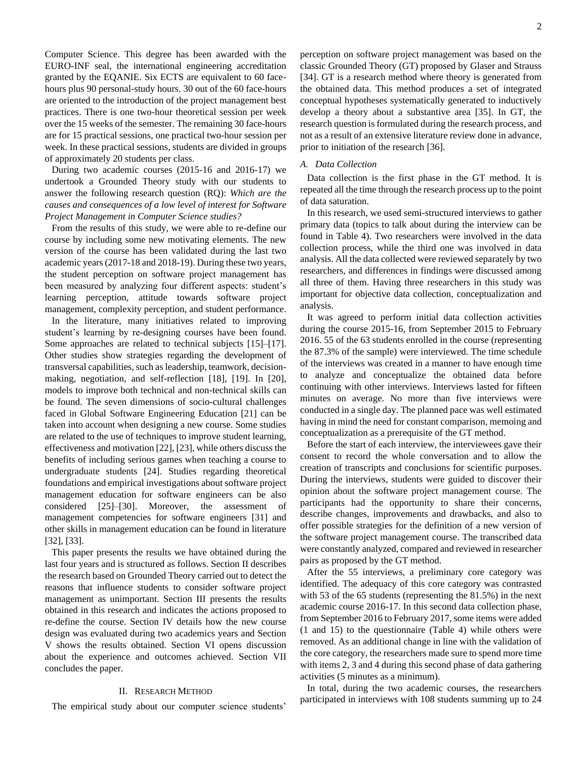Computer Science. This degree has been awarded with the EURO-INF seal, the international engineering accreditation granted by the EQANIE. Six ECTS are equivalent to 60 facehours plus 90 personal-study hours. 30 out of the 60 face-hours are oriented to the introduction of the project management best practices. There is one two-hour theoretical session per week over the 15 weeks of the semester. The remaining 30 face-hours are for 15 practical sessions, one practical two-hour session per week. In these practical sessions, students are divided in groups of approximately 20 students per class.

During two academic courses (2015-16 and 2016-17) we undertook a Grounded Theory study with our students to answer the following research question (RQ): *Which are the causes and consequences of a low level of interest for Software Project Management in Computer Science studies?*

From the results of this study, we were able to re-define our course by including some new motivating elements. The new version of the course has been validated during the last two academic years (2017-18 and 2018-19). During these two years, the student perception on software project management has been measured by analyzing four different aspects: student's learning perception, attitude towards software project management, complexity perception, and student performance.

In the literature, many initiatives related to improving student's learning by re-designing courses have been found. Some approaches are related to technical subjects [15]–[17]. Other studies show strategies regarding the development of transversal capabilities, such as leadership, teamwork, decisionmaking, negotiation, and self-reflection [18], [19]. In [20], models to improve both technical and non-technical skills can be found. The seven dimensions of socio-cultural challenges faced in Global Software Engineering Education [21] can be taken into account when designing a new course. Some studies are related to the use of techniques to improve student learning, effectiveness and motivation [22], [23], while others discuss the benefits of including serious games when teaching a course to undergraduate students [24]. Studies regarding theoretical foundations and empirical investigations about software project management education for software engineers can be also considered [25]–[30]. Moreover, the assessment of management competencies for software engineers [31] and other skills in management education can be found in literature [32], [33].

This paper presents the results we have obtained during the last four years and is structured as follows. Section II describes the research based on Grounded Theory carried out to detect the reasons that influence students to consider software project management as unimportant. Section III presents the results obtained in this research and indicates the actions proposed to re-define the course. Section IV details how the new course design was evaluated during two academics years and Section V shows the results obtained. Section VI opens discussion about the experience and outcomes achieved. Section VII concludes the paper.

# II. RESEARCH METHOD

The empirical study about our computer science students'

perception on software project management was based on the classic Grounded Theory (GT) proposed by Glaser and Strauss [34]. GT is a research method where theory is generated from the obtained data. This method produces a set of integrated conceptual hypotheses systematically generated to inductively develop a theory about a substantive area [35]. In GT, the research question is formulated during the research process, and not as a result of an extensive literature review done in advance, prior to initiation of the research [36].

## *A. Data Collection*

Data collection is the first phase in the GT method. It is repeated all the time through the research process up to the point of data saturation.

In this research, we used semi-structured interviews to gather primary data (topics to talk about during the interview can be found in Table 4). Two researchers were involved in the data collection process, while the third one was involved in data analysis. All the data collected were reviewed separately by two researchers, and differences in findings were discussed among all three of them. Having three researchers in this study was important for objective data collection, conceptualization and analysis.

It was agreed to perform initial data collection activities during the course 2015-16, from September 2015 to February 2016. 55 of the 63 students enrolled in the course (representing the 87.3% of the sample) were interviewed. The time schedule of the interviews was created in a manner to have enough time to analyze and conceptualize the obtained data before continuing with other interviews. Interviews lasted for fifteen minutes on average. No more than five interviews were conducted in a single day. The planned pace was well estimated having in mind the need for constant comparison, memoing and conceptualization as a prerequisite of the GT method.

Before the start of each interview, the interviewees gave their consent to record the whole conversation and to allow the creation of transcripts and conclusions for scientific purposes. During the interviews, students were guided to discover their opinion about the software project management course. The participants had the opportunity to share their concerns, describe changes, improvements and drawbacks, and also to offer possible strategies for the definition of a new version of the software project management course. The transcribed data were constantly analyzed, compared and reviewed in researcher pairs as proposed by the GT method.

After the 55 interviews, a preliminary core category was identified. The adequacy of this core category was contrasted with 53 of the 65 students (representing the 81.5%) in the next academic course 2016-17. In this second data collection phase, from September 2016 to February 2017, some items were added (1 and 15) to the questionnaire (Table 4) while others were removed. As an additional change in line with the validation of the core category, the researchers made sure to spend more time with items 2, 3 and 4 during this second phase of data gathering activities (5 minutes as a minimum).

In total, during the two academic courses, the researchers participated in interviews with 108 students summing up to 24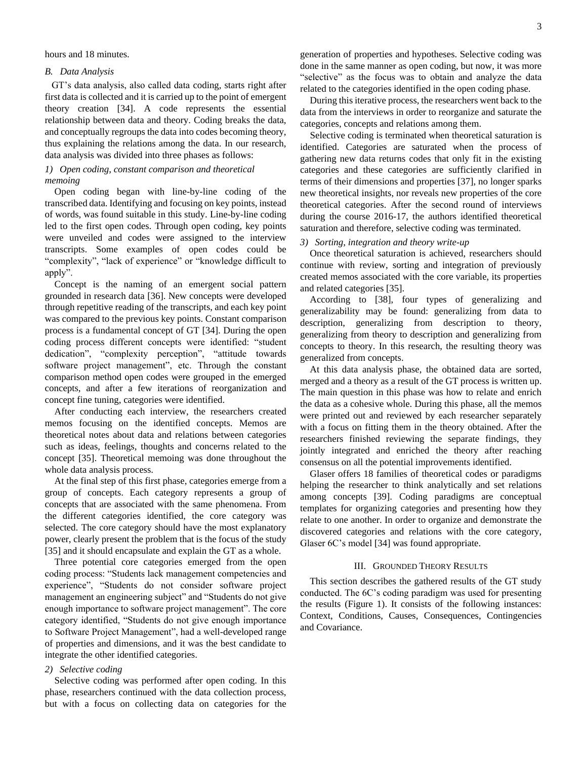hours and 18 minutes.

# *B. Data Analysis*

GT's data analysis, also called data coding, starts right after first data is collected and it is carried up to the point of emergent theory creation [34]. A code represents the essential relationship between data and theory. Coding breaks the data, and conceptually regroups the data into codes becoming theory, thus explaining the relations among the data. In our research, data analysis was divided into three phases as follows:

# *1) Open coding, constant comparison and theoretical memoing*

Open coding began with line-by-line coding of the transcribed data. Identifying and focusing on key points, instead of words, was found suitable in this study. Line-by-line coding led to the first open codes. Through open coding, key points were unveiled and codes were assigned to the interview transcripts. Some examples of open codes could be "complexity", "lack of experience" or "knowledge difficult to apply".

Concept is the naming of an emergent social pattern grounded in research data [36]. New concepts were developed through repetitive reading of the transcripts, and each key point was compared to the previous key points. Constant comparison process is a fundamental concept of GT [34]. During the open coding process different concepts were identified: "student dedication", "complexity perception", "attitude towards software project management", etc. Through the constant comparison method open codes were grouped in the emerged concepts, and after a few iterations of reorganization and concept fine tuning, categories were identified.

After conducting each interview, the researchers created memos focusing on the identified concepts. Memos are theoretical notes about data and relations between categories such as ideas, feelings, thoughts and concerns related to the concept [35]. Theoretical memoing was done throughout the whole data analysis process.

At the final step of this first phase, categories emerge from a group of concepts. Each category represents a group of concepts that are associated with the same phenomena. From the different categories identified, the core category was selected. The core category should have the most explanatory power, clearly present the problem that is the focus of the study [35] and it should encapsulate and explain the GT as a whole.

Three potential core categories emerged from the open coding process: "Students lack management competencies and experience", "Students do not consider software project management an engineering subject" and "Students do not give enough importance to software project management". The core category identified, "Students do not give enough importance to Software Project Management", had a well-developed range of properties and dimensions, and it was the best candidate to integrate the other identified categories.

# *2) Selective coding*

Selective coding was performed after open coding. In this phase, researchers continued with the data collection process, but with a focus on collecting data on categories for the

generation of properties and hypotheses. Selective coding was done in the same manner as open coding, but now, it was more "selective" as the focus was to obtain and analyze the data related to the categories identified in the open coding phase.

During this iterative process, the researchers went back to the data from the interviews in order to reorganize and saturate the categories, concepts and relations among them.

Selective coding is terminated when theoretical saturation is identified. Categories are saturated when the process of gathering new data returns codes that only fit in the existing categories and these categories are sufficiently clarified in terms of their dimensions and properties [37], no longer sparks new theoretical insights, nor reveals new properties of the core theoretical categories. After the second round of interviews during the course 2016-17, the authors identified theoretical saturation and therefore, selective coding was terminated.

# *3) Sorting, integration and theory write-up*

Once theoretical saturation is achieved, researchers should continue with review, sorting and integration of previously created memos associated with the core variable, its properties and related categories [35].

According to [38], four types of generalizing and generalizability may be found: generalizing from data to description, generalizing from description to theory, generalizing from theory to description and generalizing from concepts to theory. In this research, the resulting theory was generalized from concepts.

At this data analysis phase, the obtained data are sorted, merged and a theory as a result of the GT process is written up. The main question in this phase was how to relate and enrich the data as a cohesive whole. During this phase, all the memos were printed out and reviewed by each researcher separately with a focus on fitting them in the theory obtained. After the researchers finished reviewing the separate findings, they jointly integrated and enriched the theory after reaching consensus on all the potential improvements identified.

Glaser offers 18 families of theoretical codes or paradigms helping the researcher to think analytically and set relations among concepts [39]. Coding paradigms are conceptual templates for organizing categories and presenting how they relate to one another. In order to organize and demonstrate the discovered categories and relations with the core category, Glaser 6C's model [34] was found appropriate.

# III. GROUNDED THEORY RESULTS

This section describes the gathered results of the GT study conducted. The 6C's coding paradigm was used for presenting the results (Figure 1). It consists of the following instances: Context, Conditions, Causes, Consequences, Contingencies and Covariance.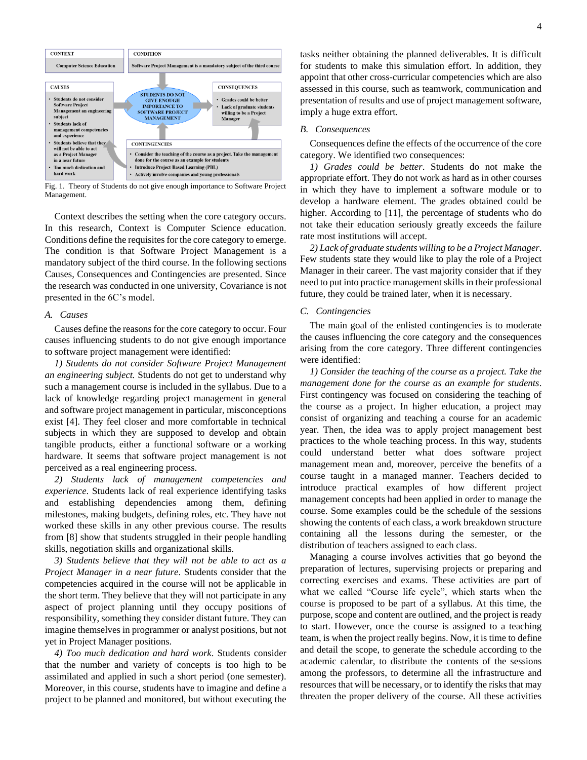

Fig. 1. Theory of Students do not give enough importance to Software Project Management.

Context describes the setting when the core category occurs. In this research, Context is Computer Science education. Conditions define the requisites for the core category to emerge. The condition is that Software Project Management is a mandatory subject of the third course. In the following sections Causes, Consequences and Contingencies are presented. Since the research was conducted in one university, Covariance is not presented in the 6C's model.

# *A. Causes*

Causes define the reasons for the core category to occur. Four causes influencing students to do not give enough importance to software project management were identified:

*1) Students do not consider Software Project Management an engineering subject.* Students do not get to understand why such a management course is included in the syllabus. Due to a lack of knowledge regarding project management in general and software project management in particular, misconceptions exist [4]. They feel closer and more comfortable in technical subjects in which they are supposed to develop and obtain tangible products, either a functional software or a working hardware. It seems that software project management is not perceived as a real engineering process.

*2) Students lack of management competencies and experience*. Students lack of real experience identifying tasks and establishing dependencies among them, defining milestones, making budgets, defining roles, etc. They have not worked these skills in any other previous course. The results from [8] show that students struggled in their people handling skills, negotiation skills and organizational skills.

*3) Students believe that they will not be able to act as a Project Manager in a near future*. Students consider that the competencies acquired in the course will not be applicable in the short term. They believe that they will not participate in any aspect of project planning until they occupy positions of responsibility, something they consider distant future. They can imagine themselves in programmer or analyst positions, but not yet in Project Manager positions.

*4) Too much dedication and hard work*. Students consider that the number and variety of concepts is too high to be assimilated and applied in such a short period (one semester). Moreover, in this course, students have to imagine and define a project to be planned and monitored, but without executing the

tasks neither obtaining the planned deliverables. It is difficult for students to make this simulation effort. In addition, they appoint that other cross-curricular competencies which are also assessed in this course, such as teamwork, communication and presentation of results and use of project management software, imply a huge extra effort.

## *B. Consequences*

Consequences define the effects of the occurrence of the core category. We identified two consequences:

*1) Grades could be better*. Students do not make the appropriate effort. They do not work as hard as in other courses in which they have to implement a software module or to develop a hardware element. The grades obtained could be higher. According to [11], the percentage of students who do not take their education seriously greatly exceeds the failure rate most institutions will accept.

*2) Lack of graduate students willing to be a Project Manager*. Few students state they would like to play the role of a Project Manager in their career. The vast majority consider that if they need to put into practice management skills in their professional future, they could be trained later, when it is necessary.

# *C. Contingencies*

The main goal of the enlisted contingencies is to moderate the causes influencing the core category and the consequences arising from the core category. Three different contingencies were identified:

*1) Consider the teaching of the course as a project. Take the management done for the course as an example for students*. First contingency was focused on considering the teaching of the course as a project. In higher education, a project may consist of organizing and teaching a course for an academic year. Then, the idea was to apply project management best practices to the whole teaching process. In this way, students could understand better what does software project management mean and, moreover, perceive the benefits of a course taught in a managed manner. Teachers decided to introduce practical examples of how different project management concepts had been applied in order to manage the course. Some examples could be the schedule of the sessions showing the contents of each class, a work breakdown structure containing all the lessons during the semester, or the distribution of teachers assigned to each class.

Managing a course involves activities that go beyond the preparation of lectures, supervising projects or preparing and correcting exercises and exams. These activities are part of what we called "Course life cycle", which starts when the course is proposed to be part of a syllabus. At this time, the purpose, scope and content are outlined, and the project is ready to start. However, once the course is assigned to a teaching team, is when the project really begins. Now, it is time to define and detail the scope, to generate the schedule according to the academic calendar, to distribute the contents of the sessions among the professors, to determine all the infrastructure and resources that will be necessary, or to identify the risks that may threaten the proper delivery of the course. All these activities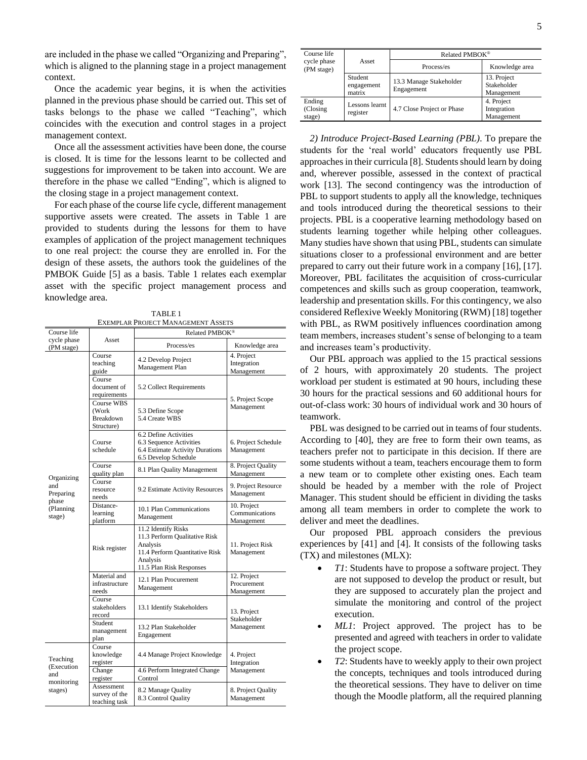are included in the phase we called "Organizing and Preparing", which is aligned to the planning stage in a project management context.

Once the academic year begins, it is when the activities planned in the previous phase should be carried out. This set of tasks belongs to the phase we called "Teaching", which coincides with the execution and control stages in a project management context.

Once all the assessment activities have been done, the course is closed. It is time for the lessons learnt to be collected and suggestions for improvement to be taken into account. We are therefore in the phase we called "Ending", which is aligned to the closing stage in a project management context.

For each phase of the course life cycle, different management supportive assets were created. The assets in Table 1 are provided to students during the lessons for them to have examples of application of the project management techniques to one real project: the course they are enrolled in. For the design of these assets, the authors took the guidelines of the PMBOK Guide [5] as a basis. Table 1 relates each exemplar asset with the specific project management process and knowledge area.

TABLE 1 EXEMPLAR PROJECT MANAGEMENT ASSETS

| Course life                                            |                                                       | Related PMBOK <sup>®</sup>                                                                                                                 |                                             |  |  |
|--------------------------------------------------------|-------------------------------------------------------|--------------------------------------------------------------------------------------------------------------------------------------------|---------------------------------------------|--|--|
| cycle phase<br>(PM stage)                              | Asset                                                 | Process/es                                                                                                                                 | Knowledge area                              |  |  |
|                                                        | Course<br>teaching<br>guide                           | 4.2 Develop Project<br>Management Plan                                                                                                     | 4. Project<br>Integration<br>Management     |  |  |
|                                                        | Course<br>document of<br>requirements                 | 5.2 Collect Requirements                                                                                                                   | 5. Project Scope                            |  |  |
|                                                        | Course WBS<br>(Work<br><b>Breakdown</b><br>Structure) | 5.3 Define Scope<br>5.4 Create WBS                                                                                                         | Management                                  |  |  |
|                                                        | Course<br>schedule                                    | 6.2 Define Activities<br>6.3 Sequence Activities<br>6.4 Estimate Activity Durations<br>6.5 Develop Schedule                                | 6. Project Schedule<br>Management           |  |  |
|                                                        | Course<br>quality plan                                | 8.1 Plan Quality Management                                                                                                                | 8. Project Quality<br>Management            |  |  |
| Organizing<br>and<br>Preparing                         | Course<br>resource<br>needs                           | 9.2 Estimate Activity Resources                                                                                                            | 9. Project Resource<br>Management           |  |  |
| phase<br>(Planning<br>stage)                           | Distance-<br>learning<br>platform                     | 10.1 Plan Communications<br>Management                                                                                                     | 10. Project<br>Communications<br>Management |  |  |
|                                                        | Risk register                                         | 11.2 Identify Risks<br>11.3 Perform Qualitative Risk<br>Analysis<br>11.4 Perform Quantitative Risk<br>Analysis<br>11.5 Plan Risk Responses | 11. Project Risk<br>Management              |  |  |
|                                                        | Material and<br>infrastructure<br>needs               | 12.1 Plan Procurement<br>Management                                                                                                        | 12. Project<br>Procurement<br>Management    |  |  |
|                                                        | Course<br>stakeholders<br>record                      | 13.1 Identify Stakeholders                                                                                                                 | 13. Project<br>Stakeholder                  |  |  |
|                                                        | Student<br>management<br>plan                         | 13.2 Plan Stakeholder<br>Engagement                                                                                                        | Management                                  |  |  |
| Teaching<br>(Execution<br>and<br>monitoring<br>stages) | Course<br>knowledge<br>register                       | 4.4 Manage Project Knowledge                                                                                                               | 4. Project<br>Integration                   |  |  |
|                                                        | Change<br>register                                    | 4.6 Perform Integrated Change<br>Control                                                                                                   | Management                                  |  |  |
|                                                        | Assessment<br>survey of the<br>teaching task          | 8.2 Manage Quality<br>8.3 Control Quality                                                                                                  | 8. Project Quality<br>Management            |  |  |

| Course life                  |                                 | Related PMBOK <sup>®</sup>            |                                          |  |
|------------------------------|---------------------------------|---------------------------------------|------------------------------------------|--|
| cycle phase<br>(PM stage)    | Asset                           | Process/es                            | Knowledge area                           |  |
|                              | Student<br>engagement<br>matrix | 13.3 Manage Stakeholder<br>Engagement | 13. Project<br>Stakeholder<br>Management |  |
| Ending<br>(Closing<br>stage) | Lessons learnt<br>register      | 4.7 Close Project or Phase            | 4. Project<br>Integration<br>Management  |  |

*2) Introduce Project-Based Learning (PBL)*. To prepare the students for the 'real world' educators frequently use PBL approaches in their curricula [8]. Students should learn by doing and, wherever possible, assessed in the context of practical work [13]. The second contingency was the introduction of PBL to support students to apply all the knowledge, techniques and tools introduced during the theoretical sessions to their projects. PBL is a cooperative learning methodology based on students learning together while helping other colleagues. Many studies have shown that using PBL, students can simulate situations closer to a professional environment and are better prepared to carry out their future work in a company [16], [17]. Moreover, PBL facilitates the acquisition of cross-curricular competences and skills such as group cooperation, teamwork, leadership and presentation skills. For this contingency, we also considered Reflexive Weekly Monitoring (RWM) [18] together with PBL, as RWM positively influences coordination among team members, increases student's sense of belonging to a team and increases team's productivity.

Our PBL approach was applied to the 15 practical sessions of 2 hours, with approximately 20 students. The project workload per student is estimated at 90 hours, including these 30 hours for the practical sessions and 60 additional hours for out-of-class work: 30 hours of individual work and 30 hours of teamwork.

PBL was designed to be carried out in teams of four students. According to [40], they are free to form their own teams, as teachers prefer not to participate in this decision. If there are some students without a team, teachers encourage them to form a new team or to complete other existing ones. Each team should be headed by a member with the role of Project Manager. This student should be efficient in dividing the tasks among all team members in order to complete the work to deliver and meet the deadlines.

Our proposed PBL approach considers the previous experiences by [41] and [4]. It consists of the following tasks (TX) and milestones (MLX):

- *T1*: Students have to propose a software project. They are not supposed to develop the product or result, but they are supposed to accurately plan the project and simulate the monitoring and control of the project execution.
- *ML1*: Project approved. The project has to be presented and agreed with teachers in order to validate the project scope.
- *T2*: Students have to weekly apply to their own project the concepts, techniques and tools introduced during the theoretical sessions. They have to deliver on time though the Moodle platform, all the required planning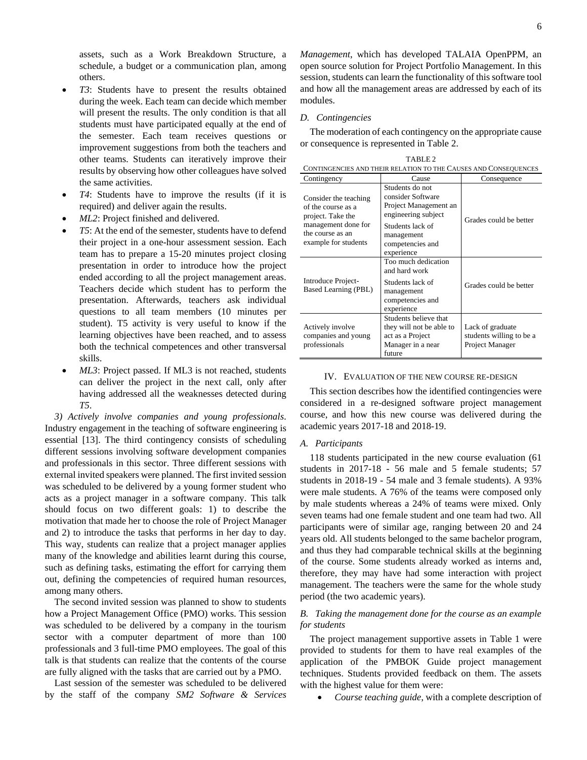assets, such as a Work Breakdown Structure, a schedule, a budget or a communication plan, among others.

- *T3*: Students have to present the results obtained during the week. Each team can decide which member will present the results. The only condition is that all students must have participated equally at the end of the semester. Each team receives questions or improvement suggestions from both the teachers and other teams. Students can iteratively improve their results by observing how other colleagues have solved the same activities.
- *T4*: Students have to improve the results (if it is required) and deliver again the results.
- *ML2*: Project finished and delivered.
- *T5*: At the end of the semester, students have to defend their project in a one-hour assessment session. Each team has to prepare a 15-20 minutes project closing presentation in order to introduce how the project ended according to all the project management areas. Teachers decide which student has to perform the presentation. Afterwards, teachers ask individual questions to all team members (10 minutes per student). T5 activity is very useful to know if the learning objectives have been reached, and to assess both the technical competences and other transversal skills.
- *ML3*: Project passed. If ML3 is not reached, students can deliver the project in the next call, only after having addressed all the weaknesses detected during *T5*.

*3) Actively involve companies and young professionals*. Industry engagement in the teaching of software engineering is essential [13]. The third contingency consists of scheduling different sessions involving software development companies and professionals in this sector. Three different sessions with external invited speakers were planned. The first invited session was scheduled to be delivered by a young former student who acts as a project manager in a software company. This talk should focus on two different goals: 1) to describe the motivation that made her to choose the role of Project Manager and 2) to introduce the tasks that performs in her day to day. This way, students can realize that a project manager applies many of the knowledge and abilities learnt during this course, such as defining tasks, estimating the effort for carrying them out, defining the competencies of required human resources, among many others.

The second invited session was planned to show to students how a Project Management Office (PMO) works. This session was scheduled to be delivered by a company in the tourism sector with a computer department of more than 100 professionals and 3 full-time PMO employees. The goal of this talk is that students can realize that the contents of the course are fully aligned with the tasks that are carried out by a PMO.

Last session of the semester was scheduled to be delivered by the staff of the company *SM2 Software & Services* 

*Management*, which has developed TALAIA OpenPPM, an open source solution for Project Portfolio Management. In this session, students can learn the functionality of this software tool and how all the management areas are addressed by each of its modules.

# *D. Contingencies*

The moderation of each contingency on the appropriate cause or consequence is represented in Table 2.

| TABLE <sub>2</sub>                                              |
|-----------------------------------------------------------------|
| CONTINGENCIES AND THEIR RELATION TO THE CAUSES AND CONSEQUENCES |

| Contingency                                                                                                                         | Cause                                                                                                                                                    | Consequence                                                     |
|-------------------------------------------------------------------------------------------------------------------------------------|----------------------------------------------------------------------------------------------------------------------------------------------------------|-----------------------------------------------------------------|
| Consider the teaching<br>of the course as a<br>project. Take the<br>management done for<br>the course as an<br>example for students | Students do not<br>consider Software<br>Project Management an<br>engineering subject<br>Students lack of<br>management<br>competencies and<br>experience | Grades could be better                                          |
| Introduce Project-<br>Based Learning (PBL)                                                                                          | Too much dedication<br>and hard work<br>Students lack of<br>management<br>competencies and<br>experience                                                 | Grades could be better                                          |
| Actively involve<br>companies and young<br>professionals                                                                            | Students believe that<br>they will not be able to<br>act as a Project<br>Manager in a near<br>future                                                     | Lack of graduate<br>students willing to be a<br>Project Manager |

#### IV. EVALUATION OF THE NEW COURSE RE-DESIGN

This section describes how the identified contingencies were considered in a re-designed software project management course, and how this new course was delivered during the academic years 2017-18 and 2018-19.

### *A. Participants*

118 students participated in the new course evaluation (61 students in 2017-18 - 56 male and 5 female students; 57 students in 2018-19 - 54 male and 3 female students). A 93% were male students. A 76% of the teams were composed only by male students whereas a 24% of teams were mixed. Only seven teams had one female student and one team had two. All participants were of similar age, ranging between 20 and 24 years old. All students belonged to the same bachelor program, and thus they had comparable technical skills at the beginning of the course. Some students already worked as interns and, therefore, they may have had some interaction with project management. The teachers were the same for the whole study period (the two academic years).

# *B. Taking the management done for the course as an example for students*

The project management supportive assets in Table 1 were provided to students for them to have real examples of the application of the PMBOK Guide project management techniques. Students provided feedback on them. The assets with the highest value for them were:

• *Course teaching guide*, with a complete description of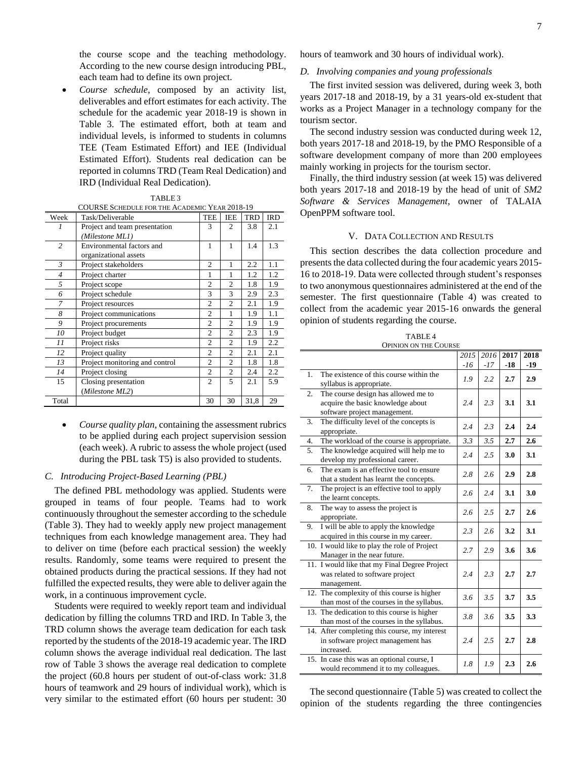the course scope and the teaching methodology. According to the new course design introducing PBL, each team had to define its own project.

• *Course schedule*, composed by an activity list, deliverables and effort estimates for each activity. The schedule for the academic year 2018-19 is shown in Table 3. The estimated effort, both at team and individual levels, is informed to students in columns TEE (Team Estimated Effort) and IEE (Individual Estimated Effort). Students real dedication can be reported in columns TRD (Team Real Dedication) and IRD (Individual Real Dedication).

| Week           | Task/Deliverable               | <b>TEE</b>     | <b>IEE</b>     | TRD  | <b>IRD</b> |
|----------------|--------------------------------|----------------|----------------|------|------------|
|                | Project and team presentation  | 3              | $\overline{c}$ | 3.8  | 2.1        |
|                | (Milestone ML1)                |                |                |      |            |
| $\overline{c}$ | Environmental factors and      | 1              | 1              | 1.4  | 1.3        |
|                | organizational assets          |                |                |      |            |
| $\mathfrak{Z}$ | Project stakeholders           | $\overline{c}$ | 1              | 2.2  | 1.1        |
| $\overline{4}$ | Project charter                | 1              | 1              | 1.2  | 1.2        |
| 5              | Project scope                  | $\overline{c}$ | $\overline{2}$ | 1.8  | 1.9        |
| 6              | Project schedule               | 3              | 3              | 2.9  | 2.3        |
| 7              | Project resources              | $\mathfrak{D}$ | $\mathfrak{D}$ | 2.1  | 1.9        |
| 8              | Project communications         | $\overline{c}$ | 1              | 1.9  | 1.1        |
| 9              | Project procurements           | $\overline{c}$ | $\overline{c}$ | 1.9  | 1.9        |
| 10             | Project budget                 | $\mathfrak{D}$ | $\mathfrak{D}$ | 2.3  | 1.9        |
| 11             | Project risks                  | $\overline{c}$ | $\overline{c}$ | 1.9  | 2.2        |
| 12             | Project quality                | $\overline{c}$ | $\overline{c}$ | 2.1  | 2.1        |
| 13             | Project monitoring and control | $\overline{c}$ | $\mathfrak{D}$ | 1.8  | 1.8        |
| 14             | Project closing                | $\mathfrak{D}$ | $\overline{c}$ | 2.4  | 2.2        |
| 15             | Closing presentation           | $\mathfrak{D}$ | 5              | 2.1  | 5.9        |
|                | (Milestone ML2)                |                |                |      |            |
| Total          |                                | 30             | 30             | 31,8 | 29         |

| TABLE 3                                              |  |
|------------------------------------------------------|--|
| <b>COURSE SCHEDULE FOR THE ACADEMIC YEAR 2018-19</b> |  |

• *Course quality plan*, containing the assessment rubrics to be applied during each project supervision session (each week). A rubric to assess the whole project (used during the PBL task T5) is also provided to students.

# *C. Introducing Project-Based Learning (PBL)*

The defined PBL methodology was applied. Students were grouped in teams of four people. Teams had to work continuously throughout the semester according to the schedule (Table 3). They had to weekly apply new project management techniques from each knowledge management area. They had to deliver on time (before each practical session) the weekly results. Randomly, some teams were required to present the obtained products during the practical sessions. If they had not fulfilled the expected results, they were able to deliver again the work, in a continuous improvement cycle.

Students were required to weekly report team and individual dedication by filling the columns TRD and IRD. In Table 3, the TRD column shows the average team dedication for each task reported by the students of the 2018-19 academic year. The IRD column shows the average individual real dedication. The last row of Table 3 shows the average real dedication to complete the project (60.8 hours per student of out-of-class work: 31.8 hours of teamwork and 29 hours of individual work), which is very similar to the estimated effort (60 hours per student: 30 hours of teamwork and 30 hours of individual work).

### *D. Involving companies and young professionals*

The first invited session was delivered, during week 3, both years 2017-18 and 2018-19, by a 31 years-old ex-student that works as a Project Manager in a technology company for the tourism sector.

The second industry session was conducted during week 12, both years 2017-18 and 2018-19, by the PMO Responsible of a software development company of more than 200 employees mainly working in projects for the tourism sector.

Finally, the third industry session (at week 15) was delivered both years 2017-18 and 2018-19 by the head of unit of *SM2 Software & Services Management*, owner of TALAIA OpenPPM software tool.

# V. DATA COLLECTION AND RESULTS

This section describes the data collection procedure and presents the data collected during the four academic years 2015- 16 to 2018-19. Data were collected through student's responses to two anonymous questionnaires administered at the end of the semester. The first questionnaire (Table 4) was created to collect from the academic year 2015-16 onwards the general opinion of students regarding the course.

| TABLE <sub>4</sub>    |
|-----------------------|
| OPINION ON THE COURSE |

|                  | 01 11 1101 \ 011 1111 COUN                    |      |      |      |      |
|------------------|-----------------------------------------------|------|------|------|------|
|                  |                                               | 2015 | 2016 | 2017 | 2018 |
|                  |                                               | -16  | -17  | -18  | -19  |
| 1.               | The existence of this course within the       | 1.9  | 2.2  | 2.7  | 2.9  |
|                  | syllabus is appropriate.                      |      |      |      |      |
| $\overline{2}$ . | The course design has allowed me to           |      |      |      |      |
|                  | acquire the basic knowledge about             | 2.4  | 2.3  | 3.1  | 3.1  |
|                  | software project management.                  |      |      |      |      |
| 3.               | The difficulty level of the concepts is       | 2.4  | 2.3  | 2.4  | 2.4  |
|                  | appropriate.                                  |      |      |      |      |
| 4.               | The workload of the course is appropriate.    | 3.3  | 3.5  | 2.7  | 2.6  |
| 5.               | The knowledge acquired will help me to        | 2.4  | 2.5  | 3.0  | 3.1  |
|                  | develop my professional career.               |      |      |      |      |
| 6.               | The exam is an effective tool to ensure       | 2.8  | 2.6  | 2.9  | 2.8  |
|                  | that a student has learnt the concepts.       |      |      |      |      |
| 7.               | The project is an effective tool to apply     | 2.6  | 2.4  | 3.1  | 3.0  |
|                  | the learnt concepts.                          |      |      |      |      |
| 8.               | The way to assess the project is              | 2.6  | 2.5  | 2.7  | 2.6  |
|                  | appropriate.                                  |      |      |      |      |
| 9.               | I will be able to apply the knowledge         | 2.3  | 2.6  | 3.2  | 3.1  |
|                  | acquired in this course in my career.         |      |      |      |      |
|                  | 10. I would like to play the role of Project  | 2.7  | 2.9  | 3.6  | 3.6  |
|                  | Manager in the near future.                   |      |      |      |      |
|                  | 11. I would like that my Final Degree Project |      |      |      |      |
|                  | was related to software project               | 2.4  | 2.3  | 2.7  | 2.7  |
|                  | management.                                   |      |      |      |      |
|                  | 12. The complexity of this course is higher   | 3.6  | 3.5  | 3.7  | 3.5  |
|                  | than most of the courses in the syllabus.     |      |      |      |      |
|                  | 13. The dedication to this course is higher   | 3.8  | 3.6  | 3.5  | 3.3  |
|                  | than most of the courses in the syllabus.     |      |      |      |      |
|                  | 14. After completing this course, my interest |      |      |      |      |
|                  | in software project management has            | 2.4  | 2.5  | 2.7  | 2.8  |
|                  | increased.                                    |      |      |      |      |
|                  | 15. In case this was an optional course, I    | 1.8  | 1.9  | 2.3  | 2.6  |
|                  | would recommend it to my colleagues.          |      |      |      |      |

The second questionnaire (Table 5) was created to collect the opinion of the students regarding the three contingencies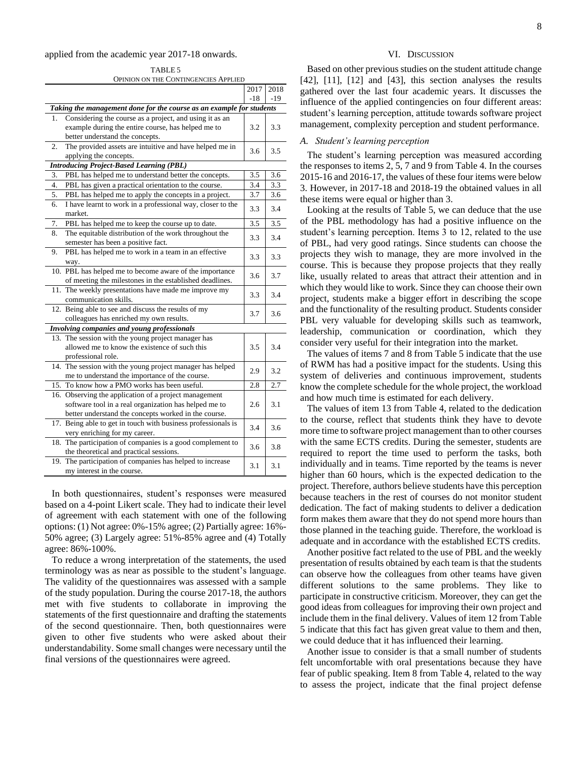#### applied from the academic year 2017-18 onwards.

TABLE 5 OPINION ON THE CONTINGENCIES APPLIED

|     |                                                                      | 2017  | 2018  |
|-----|----------------------------------------------------------------------|-------|-------|
|     |                                                                      | $-18$ | $-19$ |
|     | Taking the management done for the course as an example for students |       |       |
| 1.  | Considering the course as a project, and using it as an              |       |       |
|     | example during the entire course, has helped me to                   | 3.2   | 3.3   |
|     | better understand the concepts.                                      |       |       |
| 2.  | The provided assets are intuitive and have helped me in              | 3.6   | 3.5   |
|     | applying the concepts.                                               |       |       |
|     | <b>Introducing Project-Based Learning (PBL)</b>                      |       |       |
| 3.  | PBL has helped me to understand better the concepts.                 | 3.5   | 3.6   |
| 4.  | PBL has given a practical orientation to the course.                 | 3.4   | 3.3   |
| 5.  | PBL has helped me to apply the concepts in a project.                | 3.7   | 3.6   |
| 6.  | I have learnt to work in a professional way, closer to the           | 3.3   | 3.4   |
|     | market.                                                              |       |       |
| 7.  | PBL has helped me to keep the course up to date.                     | 3.5   | 3.5   |
| 8.  | The equitable distribution of the work throughout the                | 3.3   | 3.4   |
|     | semester has been a positive fact.                                   |       |       |
| 9.  | PBL has helped me to work in a team in an effective                  | 3.3   | 3.3   |
|     | way.                                                                 |       |       |
|     | 10. PBL has helped me to become aware of the importance              | 3.6   | 3.7   |
|     | of meeting the milestones in the established deadlines.              |       |       |
| 11. | The weekly presentations have made me improve my                     | 3.3   | 3.4   |
|     | communication skills.                                                |       |       |
|     | 12. Being able to see and discuss the results of my                  | 3.7   | 3.6   |
|     | colleagues has enriched my own results.                              |       |       |
|     | <b>Involving companies and young professionals</b>                   |       |       |
| 13. | The session with the young project manager has                       |       |       |
|     | allowed me to know the existence of such this                        | 3.5   | 3.4   |
|     | professional role.                                                   |       |       |
|     | 14. The session with the young project manager has helped            | 2.9   | 3.2   |
|     | me to understand the importance of the course.                       |       |       |
|     | 15. To know how a PMO works has been useful.                         | 2.8   | 2.7   |
| 16. | Observing the application of a project management                    |       |       |
|     | software tool in a real organization has helped me to                | 2.6   | 3.1   |
|     | better understand the concepts worked in the course.                 |       |       |
|     | 17. Being able to get in touch with business professionals is        | 3.4   | 3.6   |
|     | very enriching for my career.                                        |       |       |
| 18. | The participation of companies is a good complement to               | 3.6   | 3.8   |
|     | the theoretical and practical sessions.                              |       |       |
|     | 19. The participation of companies has helped to increase            | 3.1   | 3.1   |
|     | my interest in the course.                                           |       |       |

In both questionnaires, student's responses were measured based on a 4-point Likert scale. They had to indicate their level of agreement with each statement with one of the following options: (1) Not agree: 0%-15% agree; (2) Partially agree: 16%- 50% agree; (3) Largely agree: 51%-85% agree and (4) Totally agree: 86%-100%.

To reduce a wrong interpretation of the statements, the used terminology was as near as possible to the student's language. The validity of the questionnaires was assessed with a sample of the study population. During the course 2017-18, the authors met with five students to collaborate in improving the statements of the first questionnaire and drafting the statements of the second questionnaire. Then, both questionnaires were given to other five students who were asked about their understandability. Some small changes were necessary until the final versions of the questionnaires were agreed.

# VI. DISCUSSION

Based on other previous studies on the student attitude change [42], [11], [12] and [43], this section analyses the results gathered over the last four academic years. It discusses the influence of the applied contingencies on four different areas: student's learning perception, attitude towards software project management, complexity perception and student performance.

# *A. Student's learning perception*

The student's learning perception was measured according the responses to items 2, 5, 7 and 9 from Table 4. In the courses 2015-16 and 2016-17, the values of these four items were below 3. However, in 2017-18 and 2018-19 the obtained values in all these items were equal or higher than 3.

Looking at the results of Table 5, we can deduce that the use of the PBL methodology has had a positive influence on the student's learning perception. Items 3 to 12, related to the use of PBL, had very good ratings. Since students can choose the projects they wish to manage, they are more involved in the course. This is because they propose projects that they really like, usually related to areas that attract their attention and in which they would like to work. Since they can choose their own project, students make a bigger effort in describing the scope and the functionality of the resulting product. Students consider PBL very valuable for developing skills such as teamwork, leadership, communication or coordination, which they consider very useful for their integration into the market.

The values of items 7 and 8 from Table 5 indicate that the use of RWM has had a positive impact for the students. Using this system of deliveries and continuous improvement, students know the complete schedule for the whole project, the workload and how much time is estimated for each delivery.

The values of item 13 from Table 4, related to the dedication to the course, reflect that students think they have to devote more time to software project management than to other courses with the same ECTS credits. During the semester, students are required to report the time used to perform the tasks, both individually and in teams. Time reported by the teams is never higher than 60 hours, which is the expected dedication to the project. Therefore, authors believe students have this perception because teachers in the rest of courses do not monitor student dedication. The fact of making students to deliver a dedication form makes them aware that they do not spend more hours than those planned in the teaching guide. Therefore, the workload is adequate and in accordance with the established ECTS credits.

Another positive fact related to the use of PBL and the weekly presentation of results obtained by each team is that the students can observe how the colleagues from other teams have given different solutions to the same problems. They like to participate in constructive criticism. Moreover, they can get the good ideas from colleagues for improving their own project and include them in the final delivery. Values of item 12 from Table 5 indicate that this fact has given great value to them and then, we could deduce that it has influenced their learning.

Another issue to consider is that a small number of students felt uncomfortable with oral presentations because they have fear of public speaking. Item 8 from Table 4, related to the way to assess the project, indicate that the final project defense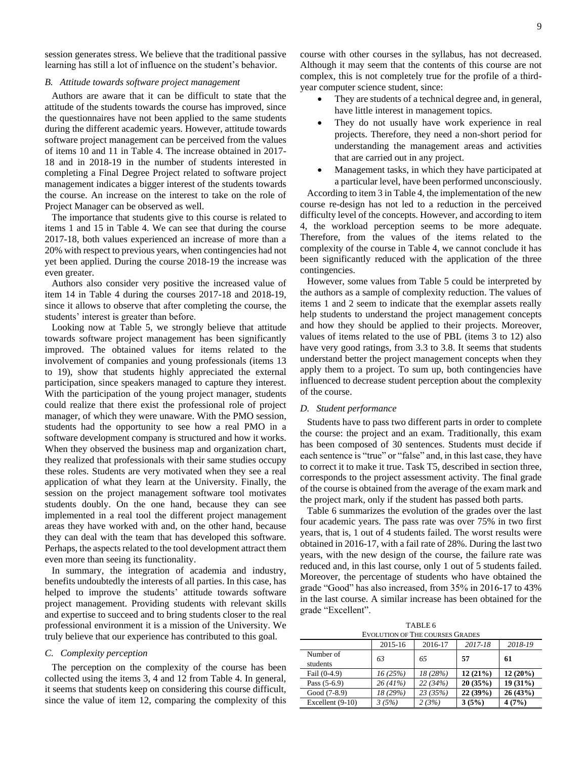session generates stress. We believe that the traditional passive learning has still a lot of influence on the student's behavior.

# *B. Attitude towards software project management*

Authors are aware that it can be difficult to state that the attitude of the students towards the course has improved, since the questionnaires have not been applied to the same students during the different academic years. However, attitude towards software project management can be perceived from the values of items 10 and 11 in Table 4. The increase obtained in 2017- 18 and in 2018-19 in the number of students interested in completing a Final Degree Project related to software project management indicates a bigger interest of the students towards the course. An increase on the interest to take on the role of Project Manager can be observed as well.

The importance that students give to this course is related to items 1 and 15 in Table 4. We can see that during the course 2017-18, both values experienced an increase of more than a 20% with respect to previous years, when contingencies had not yet been applied. During the course 2018-19 the increase was even greater.

Authors also consider very positive the increased value of item 14 in Table 4 during the courses 2017-18 and 2018-19, since it allows to observe that after completing the course, the students' interest is greater than before.

Looking now at Table 5, we strongly believe that attitude towards software project management has been significantly improved. The obtained values for items related to the involvement of companies and young professionals (items 13 to 19), show that students highly appreciated the external participation, since speakers managed to capture they interest. With the participation of the young project manager, students could realize that there exist the professional role of project manager, of which they were unaware. With the PMO session, students had the opportunity to see how a real PMO in a software development company is structured and how it works. When they observed the business map and organization chart, they realized that professionals with their same studies occupy these roles. Students are very motivated when they see a real application of what they learn at the University. Finally, the session on the project management software tool motivates students doubly. On the one hand, because they can see implemented in a real tool the different project management areas they have worked with and, on the other hand, because they can deal with the team that has developed this software. Perhaps, the aspects related to the tool development attract them even more than seeing its functionality.

In summary, the integration of academia and industry, benefits undoubtedly the interests of all parties. In this case, has helped to improve the students' attitude towards software project management. Providing students with relevant skills and expertise to succeed and to bring students closer to the real professional environment it is a mission of the University. We truly believe that our experience has contributed to this goal.

## *C. Complexity perception*

The perception on the complexity of the course has been collected using the items 3, 4 and 12 from Table 4. In general, it seems that students keep on considering this course difficult, since the value of item 12, comparing the complexity of this course with other courses in the syllabus, has not decreased. Although it may seem that the contents of this course are not complex, this is not completely true for the profile of a thirdyear computer science student, since:

- They are students of a technical degree and, in general, have little interest in management topics.
- They do not usually have work experience in real projects. Therefore, they need a non-short period for understanding the management areas and activities that are carried out in any project.
- Management tasks, in which they have participated at a particular level, have been performed unconsciously.

According to item 3 in Table 4, the implementation of the new course re-design has not led to a reduction in the perceived difficulty level of the concepts. However, and according to item 4, the workload perception seems to be more adequate. Therefore, from the values of the items related to the complexity of the course in Table 4, we cannot conclude it has been significantly reduced with the application of the three contingencies.

However, some values from Table 5 could be interpreted by the authors as a sample of complexity reduction. The values of items 1 and 2 seem to indicate that the exemplar assets really help students to understand the project management concepts and how they should be applied to their projects. Moreover, values of items related to the use of PBL (items 3 to 12) also have very good ratings, from 3.3 to 3.8. It seems that students understand better the project management concepts when they apply them to a project. To sum up, both contingencies have influenced to decrease student perception about the complexity of the course.

### *D. Student performance*

Students have to pass two different parts in order to complete the course: the project and an exam. Traditionally, this exam has been composed of 30 sentences. Students must decide if each sentence is "true" or "false" and, in this last case, they have to correct it to make it true. Task T5, described in section three, corresponds to the project assessment activity. The final grade of the course is obtained from the average of the exam mark and the project mark, only if the student has passed both parts.

Table 6 summarizes the evolution of the grades over the last four academic years. The pass rate was over 75% in two first years, that is, 1 out of 4 students failed. The worst results were obtained in 2016-17, with a fail rate of 28%. During the last two years, with the new design of the course, the failure rate was reduced and, in this last course, only 1 out of 5 students failed. Moreover, the percentage of students who have obtained the grade "Good" has also increased, from 35% in 2016-17 to 43% in the last course. A similar increase has been obtained for the grade "Excellent".

TABLE 6 EVOLUTION OF THE COURSES GRADES

|                       | 2015-16  | 2016-17  | 2017-18 | 2018-19    |  |  |  |
|-----------------------|----------|----------|---------|------------|--|--|--|
| Number of<br>students | 63       | 65       | 57      | 61         |  |  |  |
| Fail $(0-4.9)$        | 16(25%)  | 18 (28%) | 12(21%) | $12(20\%)$ |  |  |  |
| Pass $(5-6.9)$        | 26 (41%) | 22(34%)  | 20(35%) | $19(31\%)$ |  |  |  |
| Good (7-8.9)          | 18 (29%) | 23(35%)  | 22(39%) | 26(43%)    |  |  |  |
| Excellent $(9-10)$    | 3(5%)    | 2(3%)    | 3(5%)   | 4(7%)      |  |  |  |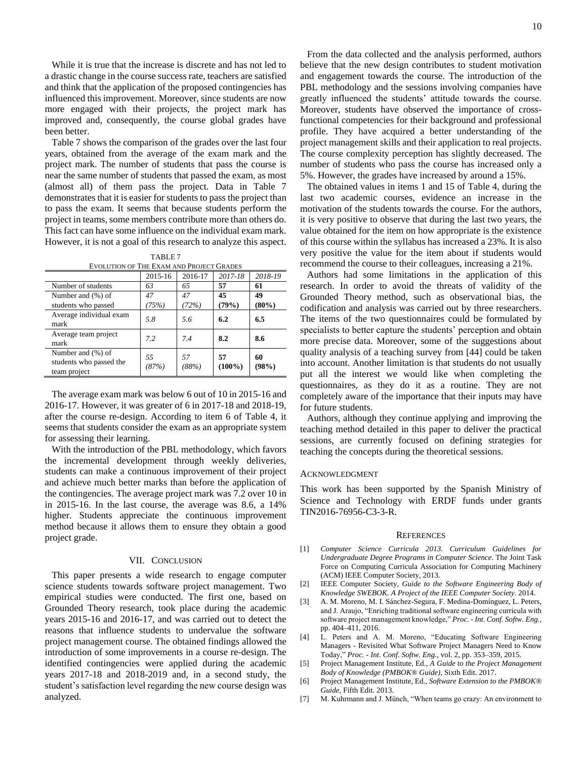While it is true that the increase is discrete and has not led to a drastic change in the course success rate, teachers are satisfied and think that the application of the proposed contingencies has influenced this improvement. Moreover, since students are now more engaged with their projects, the project mark has improved and, consequently, the course global grades have been better.

Table 7 shows the comparison of the grades over the last four years, obtained from the average of the exam mark and the project mark. The number of students that pass the course is near the same number of students that passed the exam, as most (almost all) of them pass the project. Data in Table 7 demonstrates that it is easier for students to pass the project than to pass the exam. It seems that because students perform the project in teams, some members contribute more than others do. This fact can have some influence on the individual exam mark. However, it is not a goal of this research to analyze this aspect.

|                                                                   | TABLE 7 |  |  |
|-------------------------------------------------------------------|---------|--|--|
| $\cdots$ or $\cdots$ $\cdots$ $\cdots$ $\cdots$ $\cdots$ $\cdots$ |         |  |  |

| EVOLUTION OF THE EXAM AND PROJECT GRADES                     |             |             |                 |             |  |  |
|--------------------------------------------------------------|-------------|-------------|-----------------|-------------|--|--|
|                                                              | 2015-16     | 2016-17     | 2017-18         | 2018-19     |  |  |
| Number of students                                           | 63          | 65          | 57              | 61          |  |  |
| Number and (%) of                                            | 47          | 47          | 45              | 49          |  |  |
| students who passed                                          | (75%)       | (72%)       | (79%)           | $(80\%)$    |  |  |
| Average individual exam<br>mark                              | 5.8         | 5.6         | 6.2             | 6.5         |  |  |
| Average team project<br>mark                                 | 7.2         | 74          | 8.2             | 8.6         |  |  |
| Number and (%) of<br>students who passed the<br>team project | 55<br>(87%) | 57<br>(88%) | 57<br>$(100\%)$ | 60<br>(98%) |  |  |

The average exam mark was below 6 out of 10 in 2015-16 and 2016-17. However, it was greater of 6 in 2017-18 and 2018-19, after the course re-design. According to item 6 of Table 4, it seems that students consider the exam as an appropriate system for assessing their learning.

With the introduction of the PBL methodology, which favors the incremental development through weekly deliveries, students can make a continuous improvement of their project and achieve much better marks than before the application of the contingencies. The average project mark was 7.2 over 10 in in 2015-16. In the last course, the average was 8.6, a 14% higher. Students appreciate the continuous improvement method because it allows them to ensure they obtain a good project grade.

## VII. CONCLUSION

This paper presents a wide research to engage computer science students towards software project management. Two empirical studies were conducted. The first one, based on Grounded Theory research, took place during the academic years 2015-16 and 2016-17, and was carried out to detect the reasons that influence students to undervalue the software project management course. The obtained findings allowed the introduction of some improvements in a course re-design. The identified contingencies were applied during the academic years 2017-18 and 2018-2019 and, in a second study, the student's satisfaction level regarding the new course design was analyzed.

From the data collected and the analysis performed, authors believe that the new design contributes to student motivation and engagement towards the course. The introduction of the PBL methodology and the sessions involving companies have greatly influenced the students' attitude towards the course. Moreover, students have observed the importance of crossfunctional competencies for their background and professional profile. They have acquired a better understanding of the project management skills and their application to real projects. The course complexity perception has slightly decreased. The number of students who pass the course has increased only a 5%. However, the grades have increased by around a 15%.

The obtained values in items 1 and 15 of Table 4, during the last two academic courses, evidence an increase in the motivation of the students towards the course. For the authors, it is very positive to observe that during the last two years, the value obtained for the item on how appropriate is the existence of this course within the syllabus has increased a 23%. It is also very positive the value for the item about if students would recommend the course to their colleagues, increasing a 21%.

Authors had some limitations in the application of this research. In order to avoid the threats of validity of the Grounded Theory method, such as observational bias, the codification and analysis was carried out by three researchers. The items of the two questionnaires could be formulated by specialists to better capture the students' perception and obtain more precise data. Moreover, some of the suggestions about quality analysis of a teaching survey from [44] could be taken into account. Another limitation is that students do not usually put all the interest we would like when completing the questionnaires, as they do it as a routine. They are not completely aware of the importance that their inputs may have for future students.

Authors, although they continue applying and improving the teaching method detailed in this paper to deliver the practical sessions, are currently focused on defining strategies for teaching the concepts during the theoretical sessions.

## ACKNOWLEDGMENT

This work has been supported by the Spanish Ministry of Science and Technology with ERDF funds under grants TIN2016-76956-C3-3-R.

#### **REFERENCES**

- [1] *Computer Science Curricula 2013. Curriculum Guidelines for Undergraduate Degree Programs in Computer Science*. The Joint Task Force on Computing Curricula Association for Computing Machinery (ACM) IEEE Computer Society, 2013.
- [2] IEEE Computer Society, *Guide to the Software Engineering Body of Knowledge SWEBOK. A Project of the IEEE Computer Society*. 2014.
- [3] A. M. Moreno, M. I. Sánchez-Segura, F. Medina-Domínguez, L. Peters, and J. Araujo, "Enriching traditional software engineering curricula with software project management knowledge," *Proc. - Int. Conf. Softw. Eng.*, pp. 404–411, 2016.
- [4] L. Peters and A. M. Moreno, "Educating Software Engineering Managers - Revisited What Software Project Managers Need to Know Today," *Proc. - Int. Conf. Softw. Eng.*, vol. 2, pp. 353–359, 2015.
- [5] Project Management Institute, Ed., *A Guide to the Project Management Body of Knowledge (PMBOK® Guide)*, Sixth Edit. 2017.
- [6] Project Management Institute, Ed., *Software Extension to the PMBOK® Guide*, Fifth Edit. 2013.
- [7] M. Kuhrmann and J. Münch, "When teams go crazy: An environment to